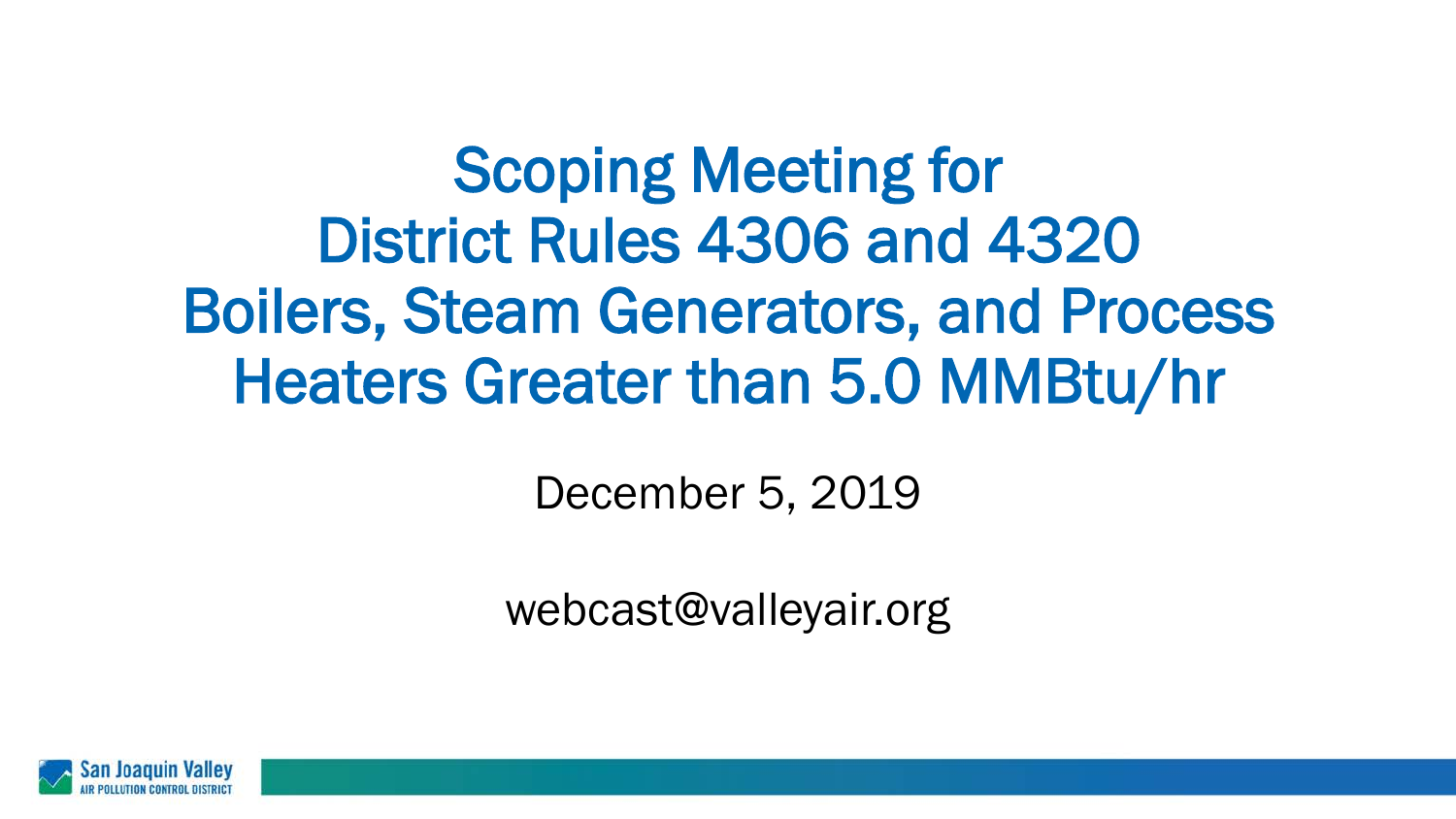Scoping Meeting for District Rules 4306 and 4320 Boilers, Steam Generators, and Process Heaters Greater than 5.0 MMBtu/hr

December 5, 2019

webcast@valleyair.org

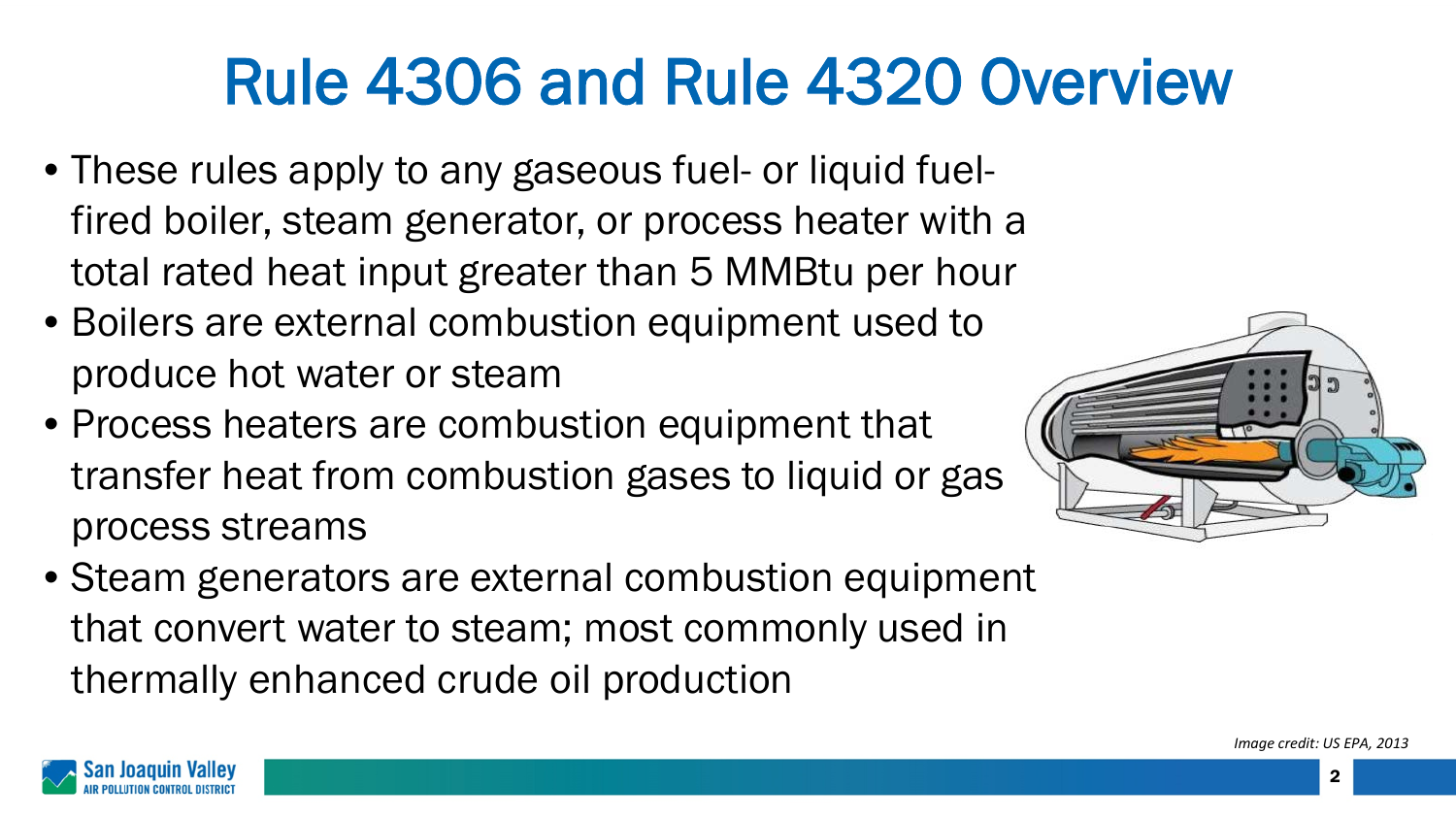# Rule 4306 and Rule 4320 Overview

- These rules apply to any gaseous fuel- or liquid fuelfired boiler, steam generator, or process heater with a total rated heat input greater than 5 MMBtu per hour
- Boilers are external combustion equipment used to produce hot water or steam
- Process heaters are combustion equipment that transfer heat from combustion gases to liquid or gas process streams



• Steam generators are external combustion equipment that convert water to steam; most commonly used in thermally enhanced crude oil production

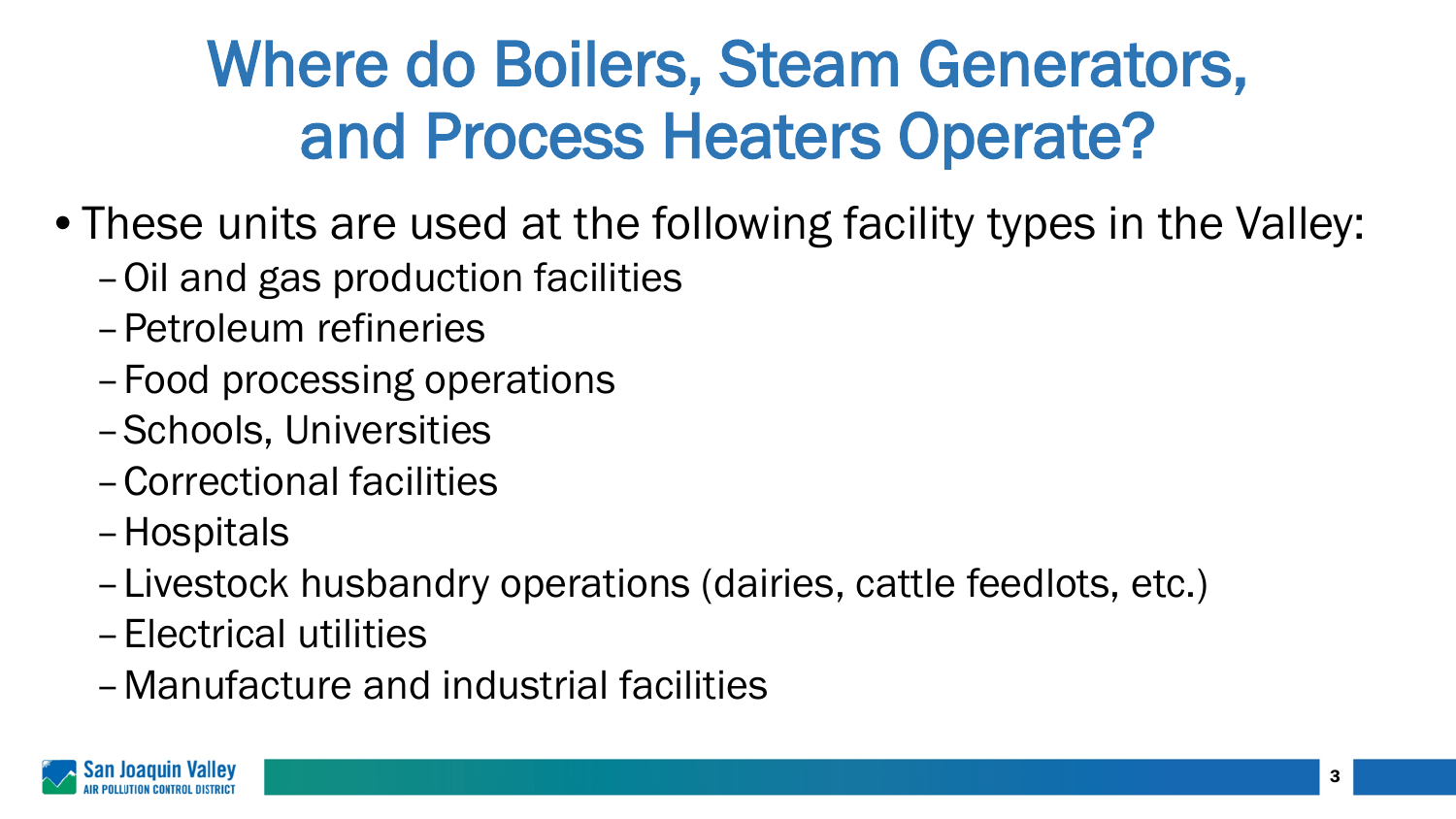## Where do Boilers, Steam Generators, and Process Heaters Operate?

- These units are used at the following facility types in the Valley:
	- –Oil and gas production facilities
	- –Petroleum refineries
	- –Food processing operations
	- –Schools, Universities
	- –Correctional facilities
	- –Hospitals
	- –Livestock husbandry operations (dairies, cattle feedlots, etc.)
	- –Electrical utilities
	- –Manufacture and industrial facilities

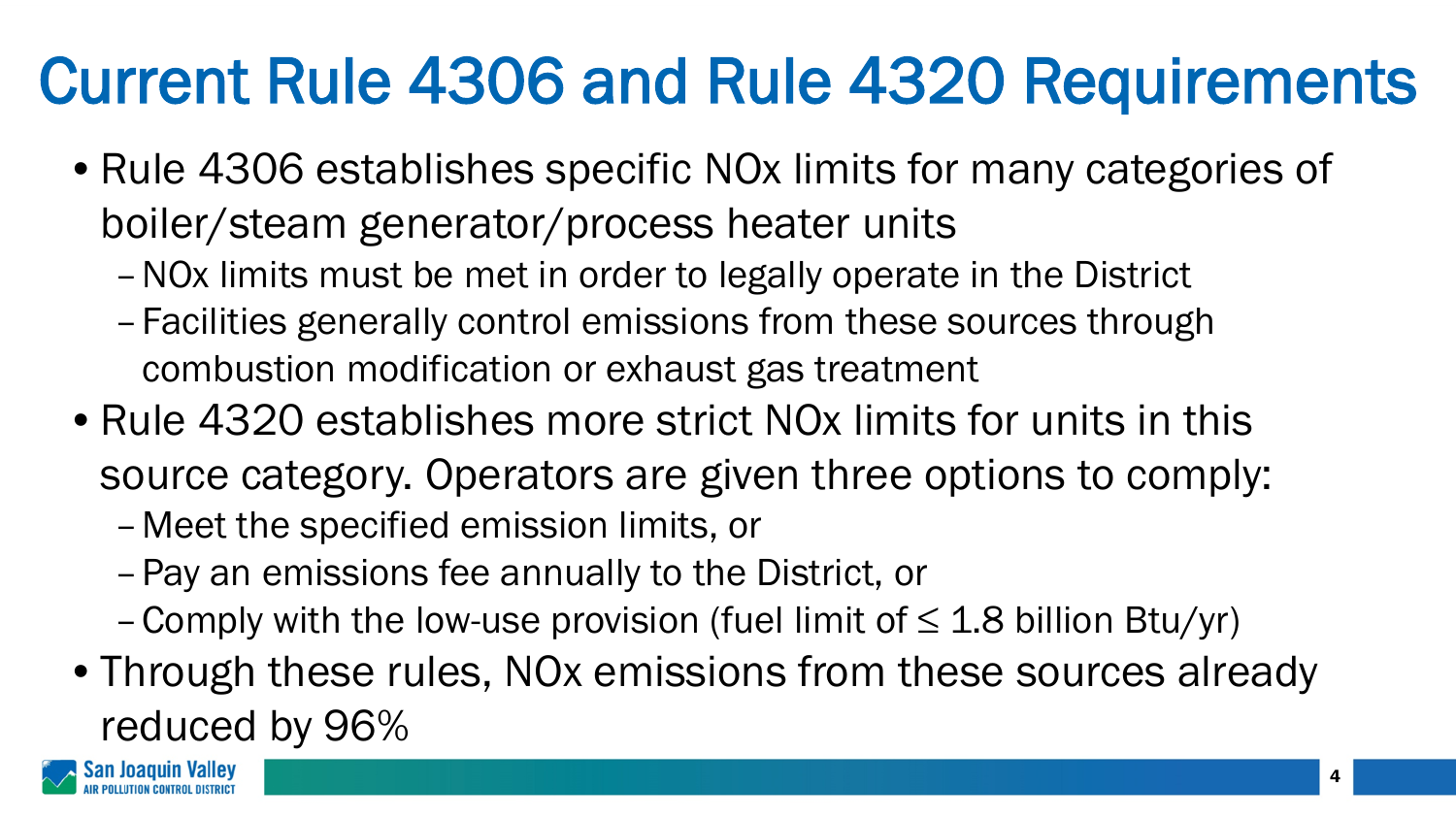# Current Rule 4306 and Rule 4320 Requirements

- Rule 4306 establishes specific NOx limits for many categories of boiler/steam generator/process heater units
	- –NOx limits must be met in order to legally operate in the District
	- –Facilities generally control emissions from these sources through combustion modification or exhaust gas treatment
- Rule 4320 establishes more strict NOx limits for units in this source category. Operators are given three options to comply: –Meet the specified emission limits, or
	- –Pay an emissions fee annually to the District, or
	- Comply with the low-use provision (fuel limit of  $\leq$  1.8 billion Btu/yr)
- Through these rules, NOx emissions from these sources already reduced by 96%

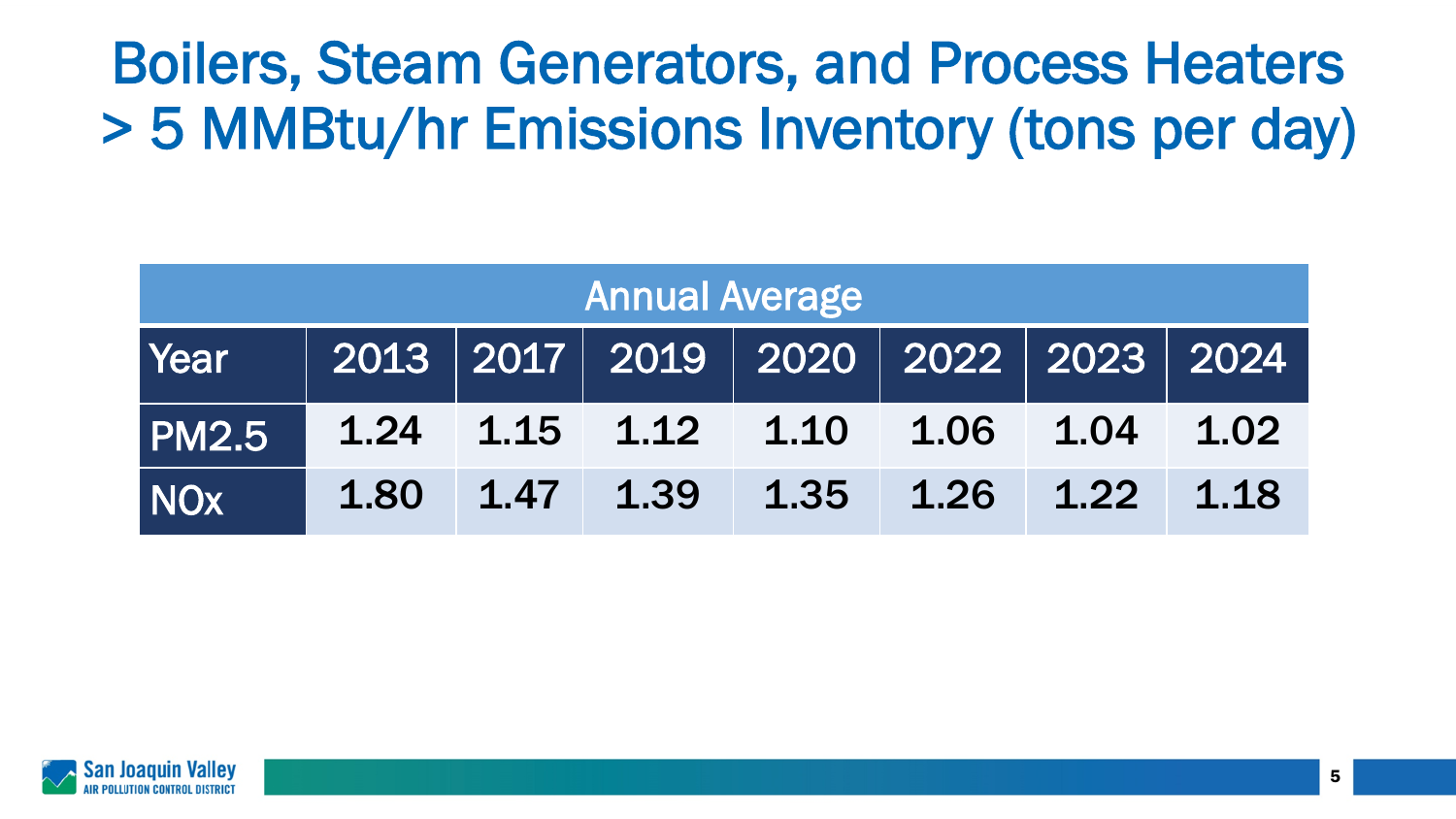#### Boilers, Steam Generators, and Process Heaters > 5 MMBtu/hr Emissions Inventory (tons per day)

| <b>Annual Average</b> |      |      |                                                |      |           |      |      |  |
|-----------------------|------|------|------------------------------------------------|------|-----------|------|------|--|
| Year                  |      |      | 2013   2017   2019   2020   2022   2023   2024 |      |           |      |      |  |
| <b>PM2.5</b>          |      |      | $1.24$ $1.15$ $1.12$ $1.10$                    |      | 1.06 1.04 |      | 1.02 |  |
| <b>NOx</b>            | 1.80 | 1.47 | 1.39                                           | 1.35 | 1.26      | 1.22 | 1.18 |  |

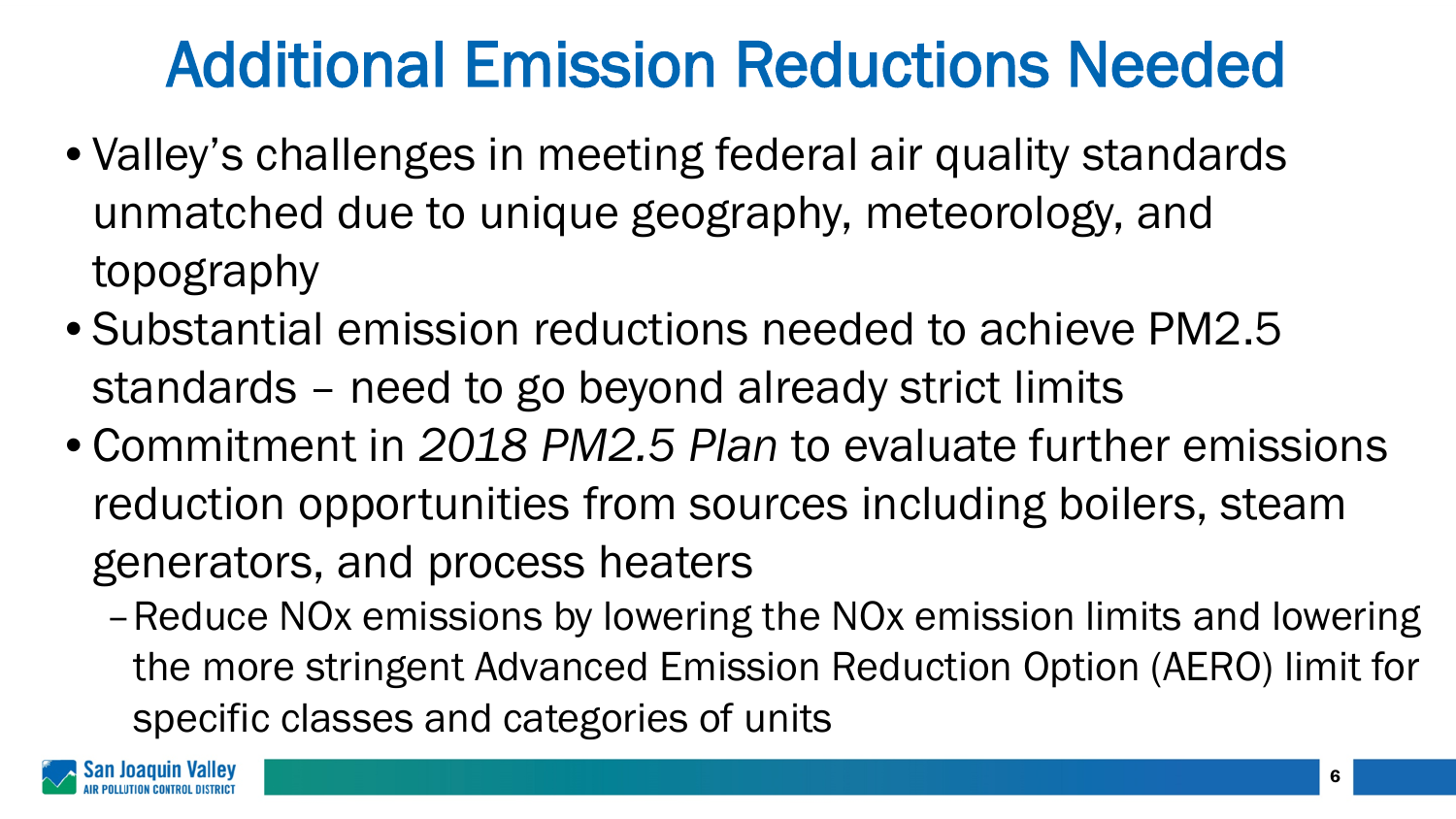### Additional Emission Reductions Needed

- Valley's challenges in meeting federal air quality standards unmatched due to unique geography, meteorology, and topography
- Substantial emission reductions needed to achieve PM2.5 standards – need to go beyond already strict limits
- Commitment in *2018 PM2.5 Plan* to evaluate further emissions reduction opportunities from sources including boilers, steam generators, and process heaters
	- –Reduce NOx emissions by lowering the NOx emission limits and lowering the more stringent Advanced Emission Reduction Option (AERO) limit for specific classes and categories of units

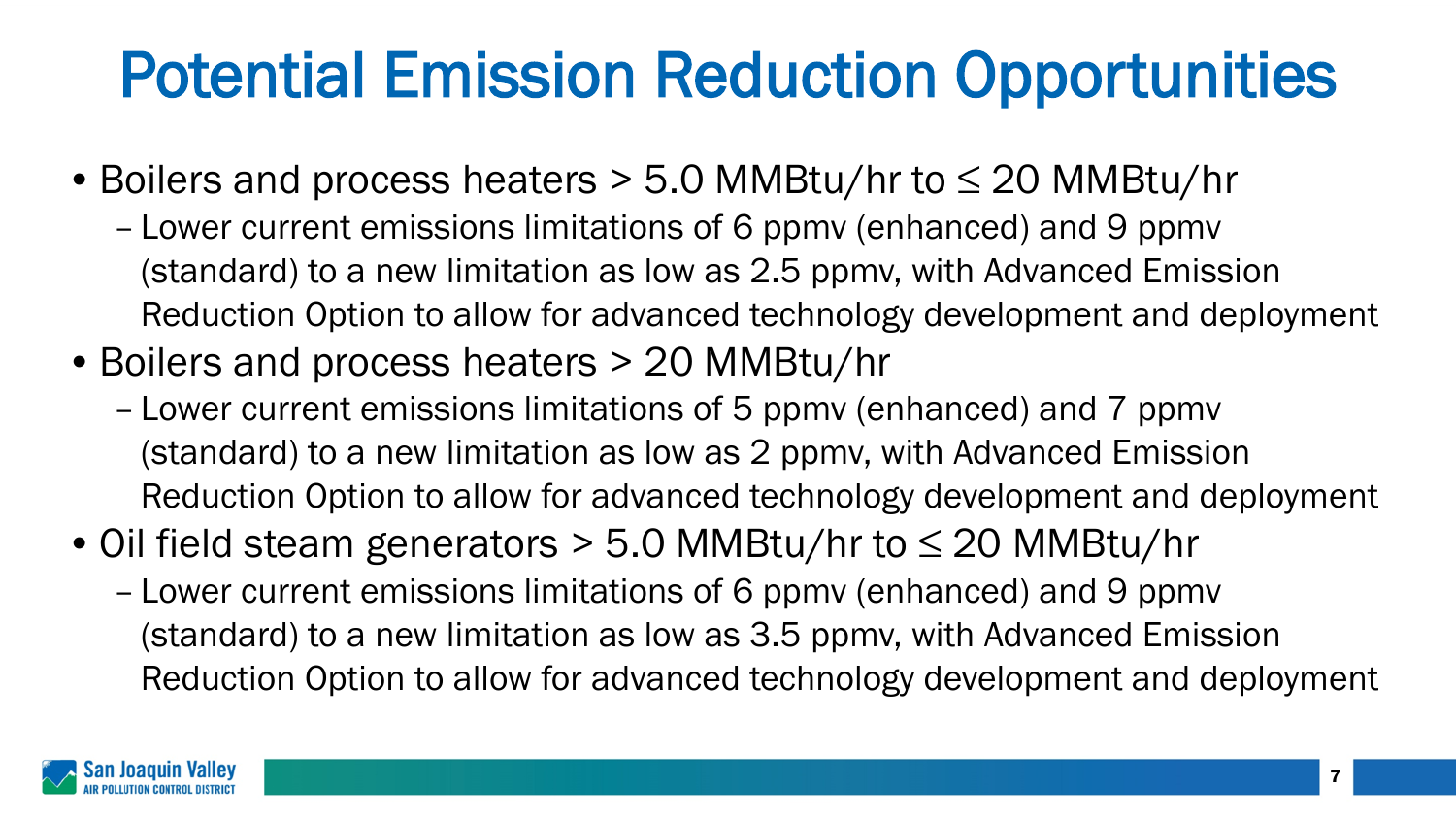# Potential Emission Reduction Opportunities

- Boilers and process heaters > 5.0 MMBtu/hr to ≤ 20 MMBtu/hr
	- Lower current emissions limitations of 6 ppmv (enhanced) and 9 ppmv (standard) to a new limitation as low as 2.5 ppmv, with Advanced Emission Reduction Option to allow for advanced technology development and deployment
- Boilers and process heaters > 20 MMBtu/hr
	- Lower current emissions limitations of 5 ppmv (enhanced) and 7 ppmv (standard) to a new limitation as low as 2 ppmv, with Advanced Emission Reduction Option to allow for advanced technology development and deployment
- Oil field steam generators > 5.0 MMBtu/hr to ≤ 20 MMBtu/hr
	- Lower current emissions limitations of 6 ppmv (enhanced) and 9 ppmv (standard) to a new limitation as low as 3.5 ppmv, with Advanced Emission Reduction Option to allow for advanced technology development and deployment

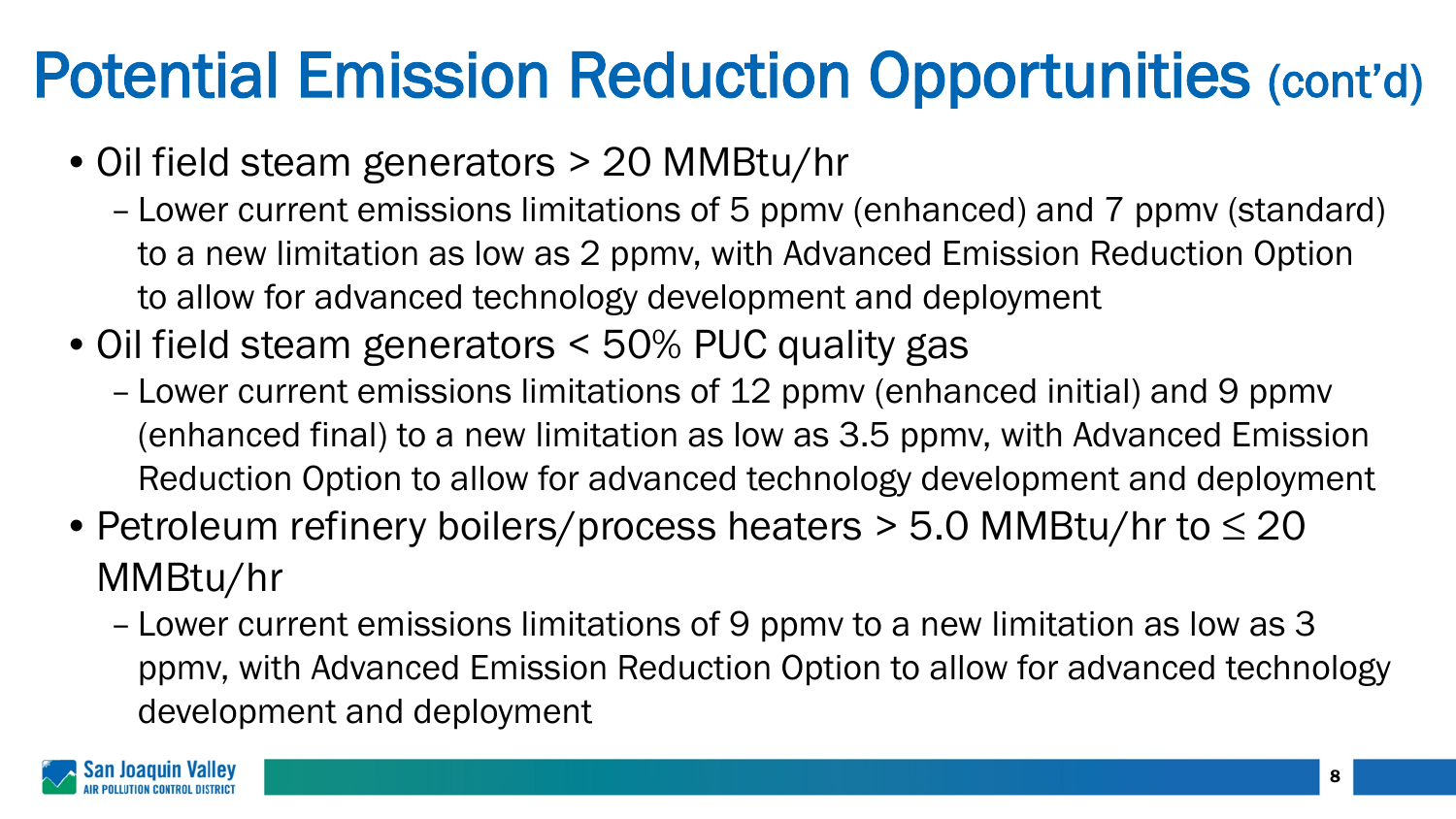## Potential Emission Reduction Opportunities (cont'd)

- Oil field steam generators > 20 MMBtu/hr
	- Lower current emissions limitations of 5 ppmv (enhanced) and 7 ppmv (standard) to a new limitation as low as 2 ppmv, with Advanced Emission Reduction Option to allow for advanced technology development and deployment
- Oil field steam generators < 50% PUC quality gas
	- Lower current emissions limitations of 12 ppmv (enhanced initial) and 9 ppmv (enhanced final) to a new limitation as low as 3.5 ppmv, with Advanced Emission Reduction Option to allow for advanced technology development and deployment
- Petroleum refinery boilers/process heaters  $>$  5.0 MMBtu/hr to  $\leq$  20 MMBtu/hr
	- Lower current emissions limitations of 9 ppmv to a new limitation as low as 3 ppmv, with Advanced Emission Reduction Option to allow for advanced technology development and deployment

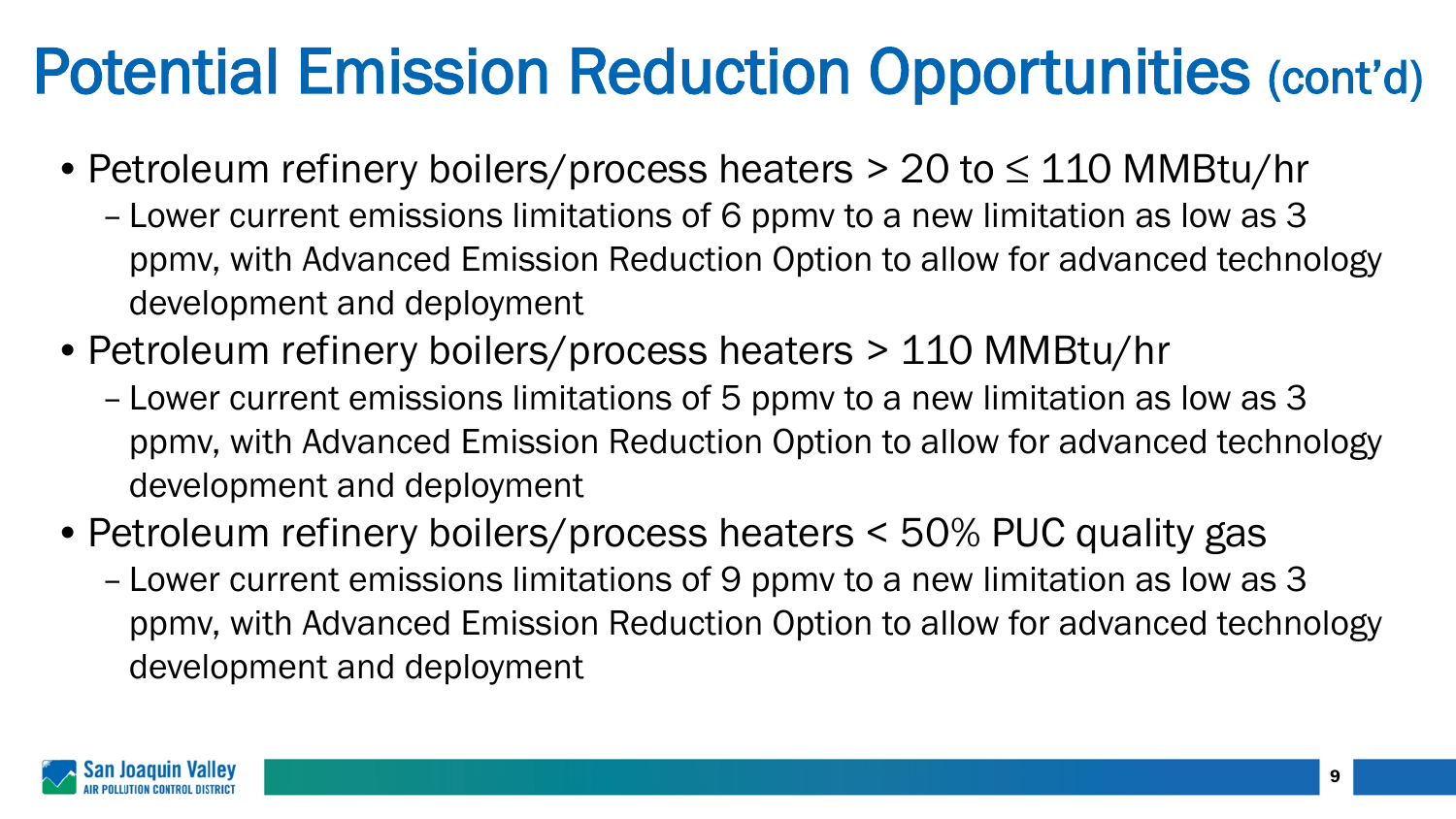### Potential Emission Reduction Opportunities (cont'd)

- Petroleum refinery boilers/process heaters > 20 to ≤ 110 MMBtu/hr
	- Lower current emissions limitations of 6 ppmv to a new limitation as low as 3 ppmv, with Advanced Emission Reduction Option to allow for advanced technology development and deployment
- Petroleum refinery boilers/process heaters > 110 MMBtu/hr
	- Lower current emissions limitations of 5 ppmv to a new limitation as low as 3 ppmv, with Advanced Emission Reduction Option to allow for advanced technology development and deployment
- Petroleum refinery boilers/process heaters < 50% PUC quality gas
	- Lower current emissions limitations of 9 ppmv to a new limitation as low as 3 ppmv, with Advanced Emission Reduction Option to allow for advanced technology development and deployment

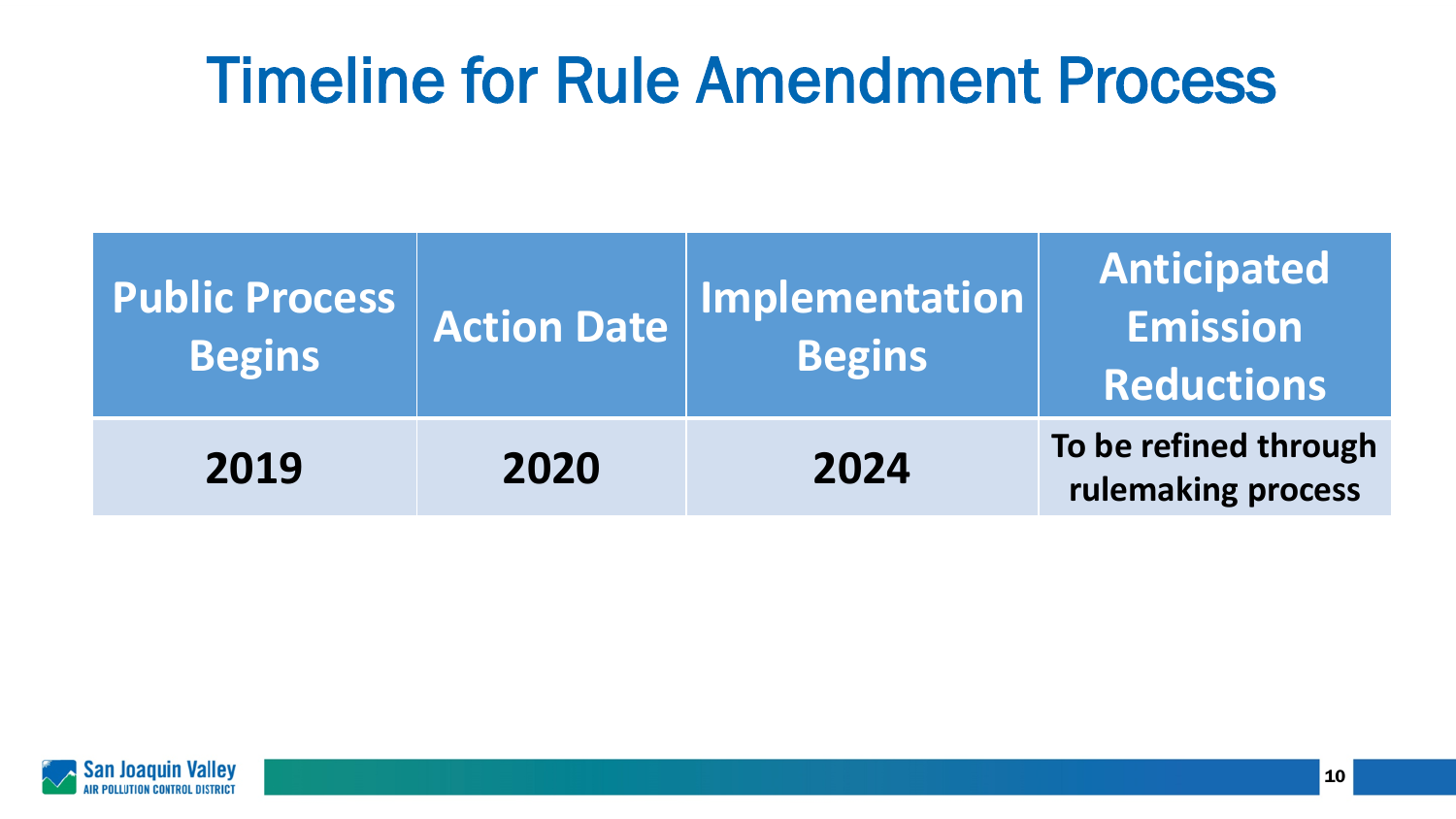#### Timeline for Rule Amendment Process

| <b>Public Process</b><br><b>Begins</b> | <b>Action Date</b> | <b>Implementation</b><br><b>Begins</b> | Anticipated<br>Emission<br><b>Reductions</b> |
|----------------------------------------|--------------------|----------------------------------------|----------------------------------------------|
| 2019                                   | 2020               | 2024                                   | To be refined through<br>rulemaking process  |

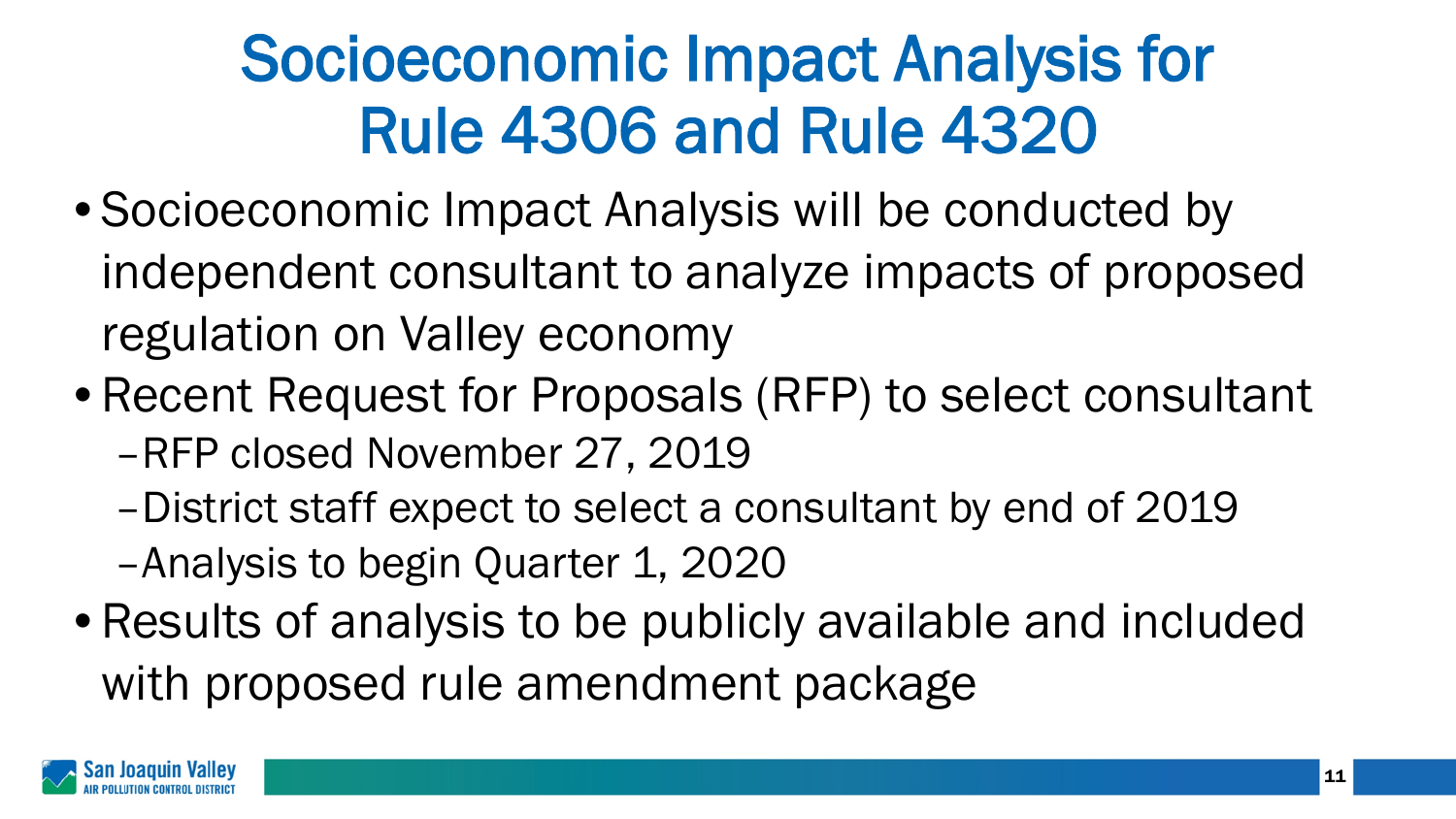## Socioeconomic Impact Analysis for Rule 4306 and Rule 4320

- Socioeconomic Impact Analysis will be conducted by independent consultant to analyze impacts of proposed regulation on Valley economy
- Recent Request for Proposals (RFP) to select consultant –RFP closed November 27, 2019
	- –District staff expect to select a consultant by end of 2019 –Analysis to begin Quarter 1, 2020
- Results of analysis to be publicly available and included with proposed rule amendment package

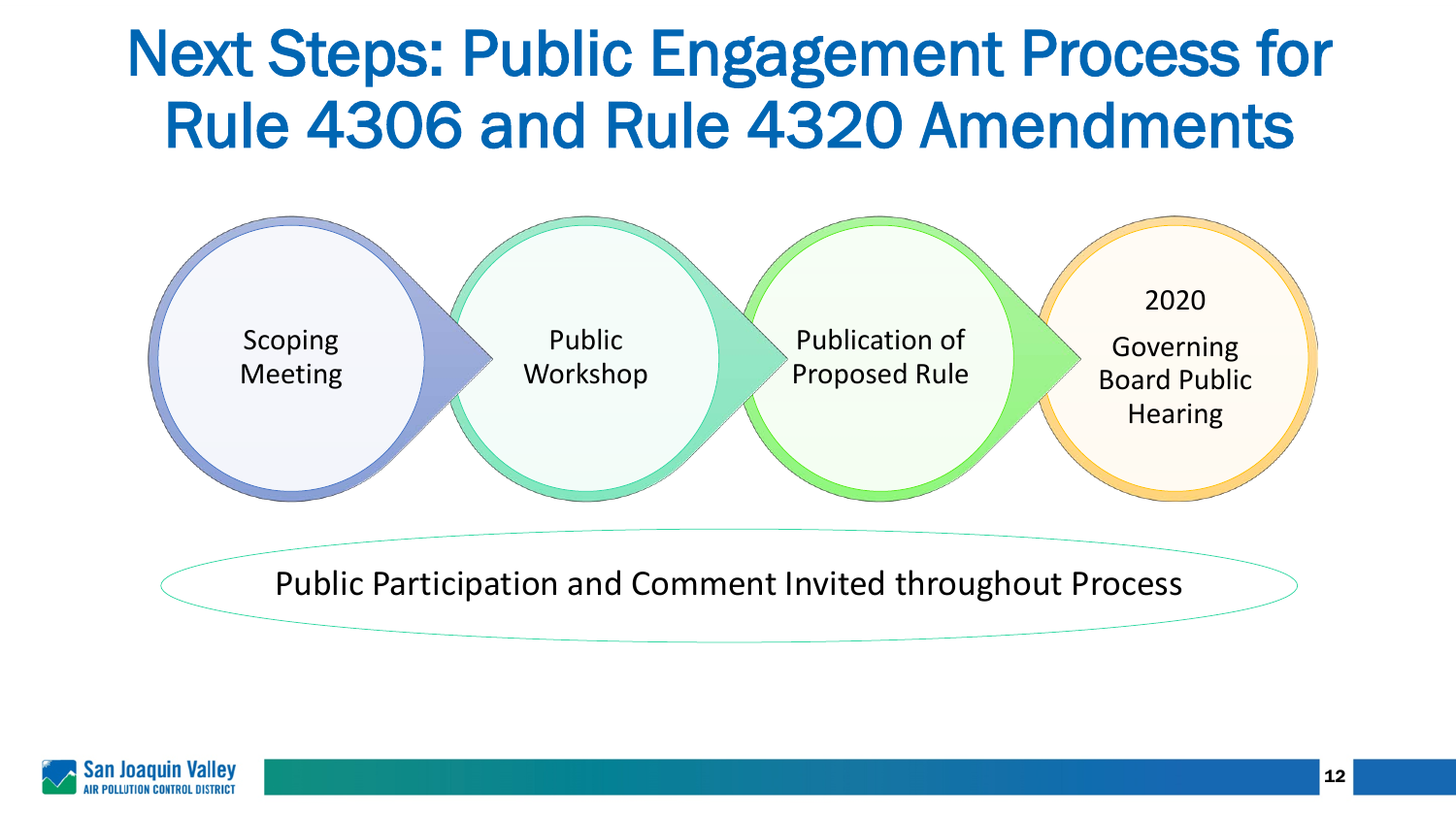### Next Steps: Public Engagement Process for Rule 4306 and Rule 4320 Amendments



Public Participation and Comment Invited throughout Process

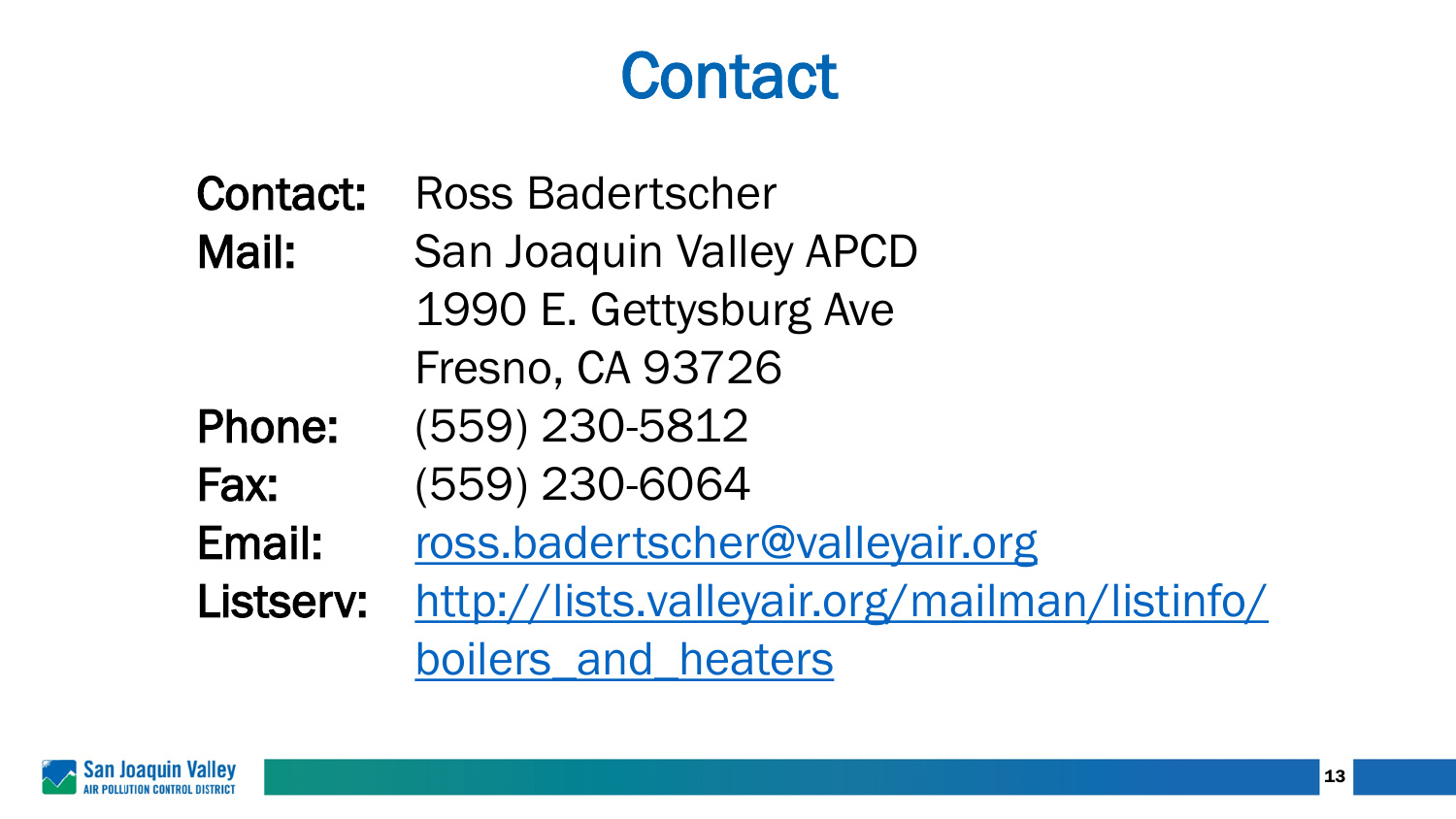### **Contact**

Contact: Ross Badertscher Mail: San Joaquin Valley APCD 1990 E. Gettysburg Ave Fresno, CA 93726 Phone: (559) 230-5812 Fax: (559) 230-6064 Email: [ross.badertscher@valleyair.org](mailto:ross.badertscher@valleyair.org) Listserv: [http://lists.valleyair.org/mailman/listinfo/](http://lists.valleyair.org/mailman/listinfo/boilers_and_heaters) boilers and heaters